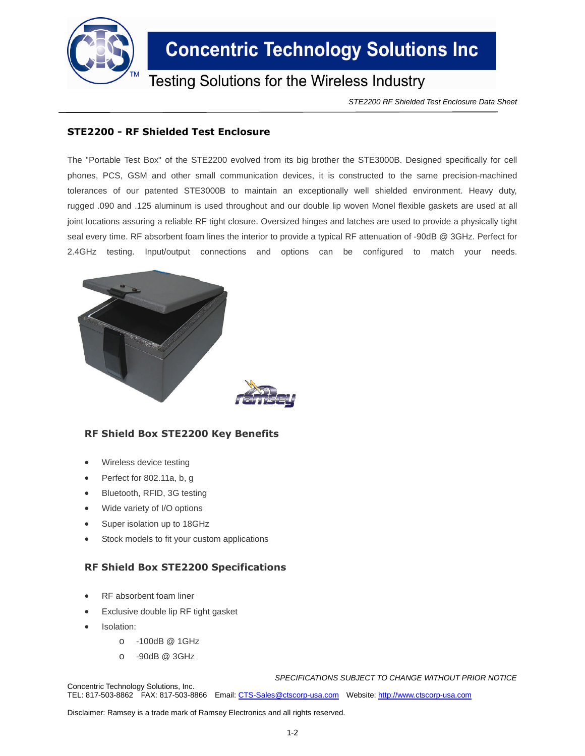

# **Concentric Technology Solutions Inc**

Testing Solutions for the Wireless Industry

*STE2200 RF Shielded Test Enclosure Data Sheet*

### **STE2200 - RF Shielded Test Enclosure**

The "Portable Test Box" of the STE2200 evolved from its big brother the STE3000B. Designed specifically for cell phones, PCS, GSM and other small communication devices, it is constructed to the same precision-machined tolerances of our patented STE3000B to maintain an exceptionally well shielded environment. Heavy duty, rugged .090 and .125 aluminum is used throughout and our double lip woven Monel flexible gaskets are used at all joint locations assuring a reliable RF tight closure. Oversized hinges and latches are used to provide a physically tight seal every time. RF absorbent foam lines the interior to provide a typical RF attenuation of -90dB @ 3GHz. Perfect for 2.4GHz testing. Input/output connections and options can be configured to match your needs.



### **RF Shield Box STE2200 Key Benefits**

- Wireless device testing
- Perfect for 802.11a, b, g
- Bluetooth, RFID, 3G testing
- Wide variety of I/O options
- Super isolation up to 18GHz
- Stock models to fit your custom applications

#### **RF Shield Box STE2200 Specifications**

- RF absorbent foam liner
- Exclusive double lip RF tight gasket
- Isolation:
	- o -100dB @ 1GHz
	- o -90dB @ 3GHz

*SPECIFICATIONS SUBJECT TO CHANGE WITHOUT PRIOR NOTICE*

Concentric Technology Solutions, Inc. TEL: 817-503-8862 FAX: 817-503-8866 Email: CTS-Sales@ctscorp-usa.com Website: http://www.ctscorp-usa.com

Disclaimer: Ramsey is a trade mark of Ramsey Electronics and all rights reserved.